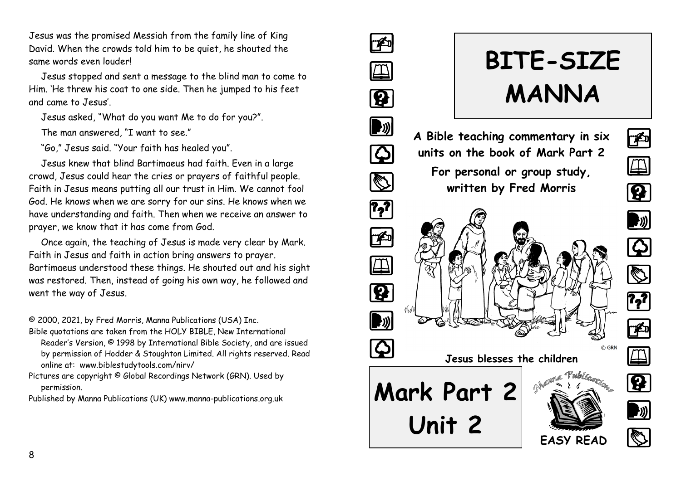Jesus was the promised Messiah from the family line of King David. When the crowds told him to be quiet, he shouted the same words even louder!

Jesus stopped and sent a message to the blind man to come to Him. 'He threw his coat to one side. Then he jumped to his feet and came to Jesus'.

Jesus asked, "What do you want Me to do for you?".

The man answered "I want to see."

"Go," Jesus said. "Your faith has healed you".

Jesus knew that blind Bartimaeus had faith. Even in a large crowd, Jesus could hear the cries or prayers of faithful people. Faith in Jesus means putting all our trust in Him. We cannot fool God. He knows when we are sorry for our sins. He knows when we have understanding and faith. Then when we receive an answer to prayer, we know that it has come from God.

Once again, the teaching of Jesus is made very clear by Mark. Faith in Jesus and faith in action bring answers to prayer. Bartimaeus understood these things. He shouted out and his sight was restored. Then, instead of going his own way, he followed and went the way of Jesus.

© 2000, 2021, by Fred Morris, Manna Publications (USA) Inc.

Bible quotations are taken from the HOLY BIBLE, New International Reader's Version, © 1998 by International Bible Society, and are issued by permission of Hodder & Stoughton Limited. All rights reserved. Read online at: www.biblestudytools.com/nirv/

Pictures are copyright © Global Recordings Network (GRN). Used by permission.

Published by Manna Publications (UK) www.manna-publications.org.uk

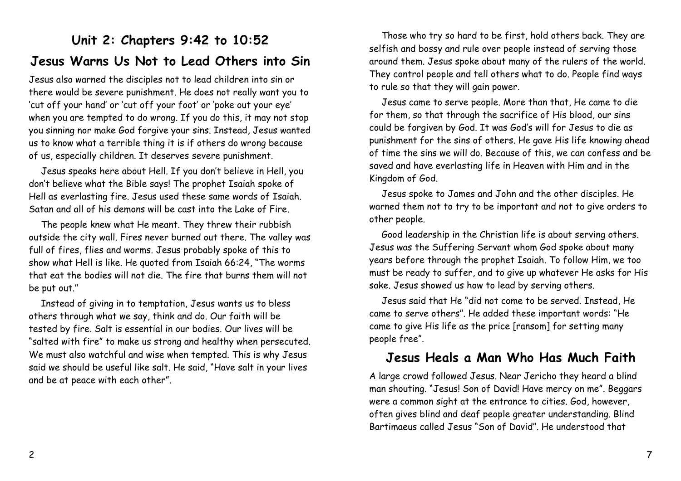# **Unit 2: Chapters 9:42 to 10:52 Jesus Warns Us Not to Lead Others into Sin**

Jesus also warned the disciples not to lead children into sin or there would be severe punishment. He does not really want you to 'cut off your hand' or 'cut off your foot' or 'poke out your eye' when you are tempted to do wrong. If you do this, it may not stop you sinning nor make God forgive your sins. Instead, Jesus wanted us to know what a terrible thing it is if others do wrong because of us, especially children. It deserves severe punishment.

Jesus speaks here about Hell. If you don't believe in Hell, you don't believe what the Bible says! The prophet Isaiah spoke of Hell as everlasting fire. Jesus used these same words of Isaiah. Satan and all of his demons will be cast into the Lake of Fire.

The people knew what He meant. They threw their rubbish outside the city wall. Fires never burned out there. The valley was full of fires, flies and worms. Jesus probably spoke of this to show what Hell is like. He quoted from Isaiah 66:24, "The worms that eat the bodies will not die. The fire that burns them will not be put out."

Instead of giving in to temptation, Jesus wants us to bless others through what we say, think and do. Our faith will be tested by fire. Salt is essential in our bodies. Our lives will be "salted with fire" to make us strong and healthy when persecuted. We must also watchful and wise when tempted. This is why Jesus said we should be useful like salt. He said, "Have salt in your lives and be at peace with each other".

Those who try so hard to be first, hold others back. They are selfish and bossy and rule over people instead of serving those around them. Jesus spoke about many of the rulers of the world. They control people and tell others what to do. People find ways to rule so that they will gain power.

Jesus came to serve people. More than that, He came to die for them, so that through the sacrifice of His blood, our sins could be forgiven by God. It was God's will for Jesus to die as punishment for the sins of others. He gave His life knowing ahead of time the sins we will do. Because of this, we can confess and be saved and have everlasting life in Heaven with Him and in the Kingdom of God.

Jesus spoke to James and John and the other disciples. He warned them not to try to be important and not to give orders to other people.

Good leadership in the Christian life is about serving others. Jesus was the Suffering Servant whom God spoke about many years before through the prophet Isaiah. To follow Him, we too must be ready to suffer, and to give up whatever He asks for His sake. Jesus showed us how to lead by serving others.

Jesus said that He "did not come to be served. Instead, He came to serve others". He added these important words: "He came to give His life as the price [ransom] for setting many people free".

#### **Jesus Heals a Man Who Has Much Faith**

A large crowd followed Jesus. Near Jericho they heard a blind man shouting. "Jesus! Son of David! Have mercy on me". Beggars were a common sight at the entrance to cities. God, however, often gives blind and deaf people greater understanding. Blind Bartimaeus called Jesus "Son of David". He understood that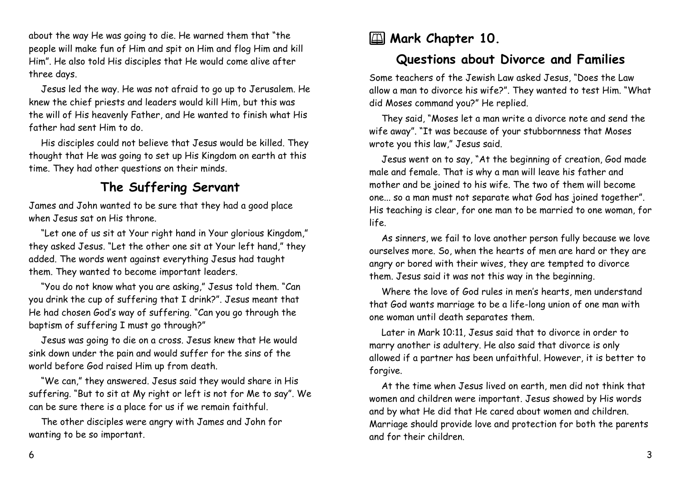about the way He was going to die. He warned them that "the people will make fun of Him and spit on Him and flog Him and kill Him". He also told His disciples that He would come alive after three days.

Jesus led the way. He was not afraid to go up to Jerusalem. He knew the chief priests and leaders would kill Him, but this was the will of His heavenly Father, and He wanted to finish what His father had sent Him to do.

His disciples could not believe that Jesus would be killed. They thought that He was going to set up His Kingdom on earth at this time. They had other questions on their minds.

## **The Suffering Servant**

James and John wanted to be sure that they had a good place when Jesus sat on His throne.

"Let one of us sit at Your right hand in Your glorious Kingdom," they asked Jesus. "Let the other one sit at Your left hand," they added. The words went against everything Jesus had taught them. They wanted to become important leaders.

"You do not know what you are asking," Jesus told them. "Can you drink the cup of suffering that I drink?". Jesus meant that He had chosen God's way of suffering. "Can you go through the baptism of suffering I must go through?"

Jesus was going to die on a cross. Jesus knew that He would sink down under the pain and would suffer for the sins of the world before God raised Him up from death.

"We can," they answered. Jesus said they would share in His suffering. "But to sit at My right or left is not for Me to say". We can be sure there is a place for us if we remain faithful.

The other disciples were angry with James and John for wanting to be so important.

# **EU** Mark Chapter 10.

# **Questions about Divorce and Families**

Some teachers of the Jewish Law asked Jesus, "Does the Law allow a man to divorce his wife?". They wanted to test Him. "What did Moses command you?" He replied.

They said, "Moses let a man write a divorce note and send the wife away". "It was because of your stubbornness that Moses wrote you this law," Jesus said.

Jesus went on to say, "At the beginning of creation, God made male and female. That is why a man will leave his father and mother and be joined to his wife. The two of them will become one... so a man must not separate what God has joined together". His teaching is clear, for one man to be married to one woman, for life.

As sinners, we fail to love another person fully because we love ourselves more. So, when the hearts of men are hard or they are angry or bored with their wives, they are tempted to divorce them. Jesus said it was not this way in the beginning.

Where the love of God rules in men's hearts, men understand that God wants marriage to be a life-long union of one man with one woman until death separates them.

Later in Mark 10:11, Jesus said that to divorce in order to marry another is adultery. He also said that divorce is only allowed if a partner has been unfaithful. However, it is better to forgive.

At the time when Jesus lived on earth, men did not think that women and children were important. Jesus showed by His words and by what He did that He cared about women and children. Marriage should provide love and protection for both the parents and for their children.